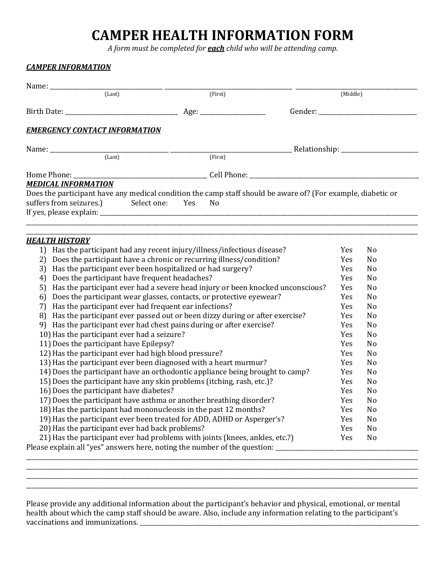# **CAMPER HEALTH INFORMATION FORM**

*A form must be completed for each child who will be attending camp.*

| (Last)                                                                                                                                             | (First)                                                                        |                                                                                              | (Middle)   |                      |  |
|----------------------------------------------------------------------------------------------------------------------------------------------------|--------------------------------------------------------------------------------|----------------------------------------------------------------------------------------------|------------|----------------------|--|
|                                                                                                                                                    |                                                                                |                                                                                              |            |                      |  |
|                                                                                                                                                    |                                                                                |                                                                                              |            |                      |  |
| <b>EMERGENCY CONTACT INFORMATION</b>                                                                                                               |                                                                                |                                                                                              |            |                      |  |
|                                                                                                                                                    | <u> 2000 - Jan Alexandro Alexandro (h. 1982).</u>                              |                                                                                              |            |                      |  |
|                                                                                                                                                    | (First)                                                                        |                                                                                              |            |                      |  |
|                                                                                                                                                    |                                                                                |                                                                                              |            |                      |  |
| <b>MEDICAL INFORMATION</b>                                                                                                                         |                                                                                |                                                                                              |            |                      |  |
| Does the participant have any medical condition the camp staff should be aware of? (For example, diabetic or                                       |                                                                                |                                                                                              |            |                      |  |
| suffers from seizures.) Select one: Yes                                                                                                            | N <sub>o</sub>                                                                 |                                                                                              |            |                      |  |
|                                                                                                                                                    |                                                                                |                                                                                              |            |                      |  |
|                                                                                                                                                    |                                                                                |                                                                                              |            |                      |  |
|                                                                                                                                                    |                                                                                |                                                                                              |            |                      |  |
| <b>HEALTH HISTORY</b>                                                                                                                              |                                                                                |                                                                                              | Yes        | N <sub>0</sub>       |  |
| 1) Has the participant had any recent injury/illness/infectious disease?<br>2) Does the participant have a chronic or recurring illness/condition? |                                                                                |                                                                                              |            | No                   |  |
| 3) Has the participant ever been hospitalized or had surgery?                                                                                      |                                                                                |                                                                                              |            | No                   |  |
| Does the participant have frequent headaches?<br>4)                                                                                                |                                                                                |                                                                                              |            | No                   |  |
| 5)                                                                                                                                                 | Has the participant ever had a severe head injury or been knocked unconscious? |                                                                                              |            |                      |  |
| 6)                                                                                                                                                 | Does the participant wear glasses, contacts, or protective eyewear?            |                                                                                              |            | No<br>No             |  |
| 7) Has the participant ever had frequent ear infections?                                                                                           |                                                                                | Yes<br>Yes<br>N <sub>o</sub>                                                                 |            |                      |  |
|                                                                                                                                                    |                                                                                |                                                                                              |            |                      |  |
| 9) Has the participant ever had chest pains during or after exercise?                                                                              |                                                                                | 8) Has the participant ever passed out or been dizzy during or after exercise?<br>Yes<br>Yes |            |                      |  |
|                                                                                                                                                    |                                                                                |                                                                                              | Yes        | N <sub>0</sub><br>No |  |
| 10) Has the participant ever had a seizure?<br>11) Does the participant have Epilepsy?                                                             |                                                                                |                                                                                              |            | No                   |  |
| 12) Has the participant ever had high blood pressure?                                                                                              |                                                                                |                                                                                              |            | N <sub>0</sub>       |  |
| 13) Has the participant ever been diagnosed with a heart murmur?                                                                                   |                                                                                |                                                                                              |            | N <sub>o</sub>       |  |
| 14) Does the participant have an orthodontic appliance being brought to camp?                                                                      |                                                                                |                                                                                              | Yes<br>Yes | No                   |  |
| 15) Does the participant have any skin problems (itching, rash, etc.)?                                                                             |                                                                                |                                                                                              |            | No                   |  |
| 16) Does the participant have diabetes?                                                                                                            |                                                                                |                                                                                              |            | No                   |  |
| 17) Does the participant have asthma or another breathing disorder?                                                                                |                                                                                |                                                                                              |            | No                   |  |
| 18) Has the participant had mononucleosis in the past 12 months?                                                                                   |                                                                                |                                                                                              |            | N <sub>o</sub>       |  |
| 19) Has the participant ever been treated for ADD, ADHD or Asperger's?                                                                             |                                                                                |                                                                                              |            | No                   |  |
| 20) Has the participant ever had back problems?                                                                                                    |                                                                                |                                                                                              | Yes<br>Yes | No                   |  |
| 21) Has the participant ever had problems with joints (knees, ankles, etc.?)                                                                       |                                                                                |                                                                                              | Yes        | No                   |  |

Please provide any additional information about the participant's behavior and physical, emotional, or mental health about which the camp staff should be aware. Also, include any information relating to the participant's vaccinations and immunizations. \_\_\_\_\_\_\_\_\_\_\_\_\_\_\_\_\_\_\_\_\_\_\_\_\_\_\_\_\_\_\_\_\_\_\_\_\_\_\_\_\_\_\_\_\_\_\_\_\_\_\_\_\_\_\_\_\_\_\_\_\_\_\_\_\_\_\_\_\_\_\_\_\_\_\_\_\_\_\_\_\_\_\_\_\_\_\_\_\_\_\_\_\_\_

\_\_\_\_\_\_\_\_\_\_\_\_\_\_\_\_\_\_\_\_\_\_\_\_\_\_\_\_\_\_\_\_\_\_\_\_\_\_\_\_\_\_\_\_\_\_\_\_\_\_\_\_\_\_\_\_\_\_\_\_\_\_\_\_\_\_\_\_\_\_\_\_\_\_\_\_\_\_\_\_\_\_\_\_\_\_\_\_\_\_\_\_\_\_\_\_\_\_\_\_\_\_\_\_\_\_\_\_\_\_\_\_\_\_\_\_\_\_\_\_\_\_\_\_\_\_\_\_\_\_\_\_ \_\_\_\_\_\_\_\_\_\_\_\_\_\_\_\_\_\_\_\_\_\_\_\_\_\_\_\_\_\_\_\_\_\_\_\_\_\_\_\_\_\_\_\_\_\_\_\_\_\_\_\_\_\_\_\_\_\_\_\_\_\_\_\_\_\_\_\_\_\_\_\_\_\_\_\_\_\_\_\_\_\_\_\_\_\_\_\_\_\_\_\_\_\_\_\_\_\_\_\_\_\_\_\_\_\_\_\_\_\_\_\_\_\_\_\_\_\_\_\_\_\_\_\_\_\_\_\_\_\_\_\_ \_\_\_\_\_\_\_\_\_\_\_\_\_\_\_\_\_\_\_\_\_\_\_\_\_\_\_\_\_\_\_\_\_\_\_\_\_\_\_\_\_\_\_\_\_\_\_\_\_\_\_\_\_\_\_\_\_\_\_\_\_\_\_\_\_\_\_\_\_\_\_\_\_\_\_\_\_\_\_\_\_\_\_\_\_\_\_\_\_\_\_\_\_\_\_\_\_\_\_\_\_\_\_\_\_\_\_\_\_\_\_\_\_\_\_\_\_\_\_\_\_\_\_\_\_\_\_\_\_\_\_\_